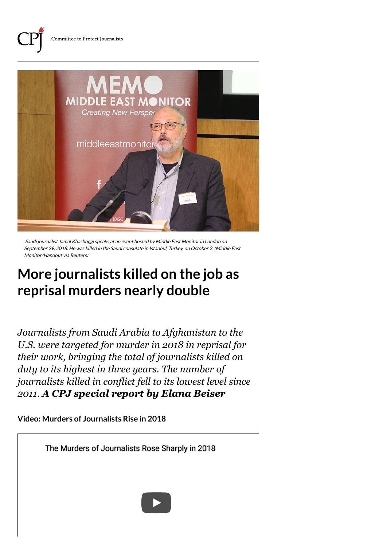

Saudi journalist Jamal Khashoggi speaks at an event hosted by Middle East Monitor in London on September 29, 2018. He was killed in the Saudi consulate in Istanbul, Turkey, on October 2. (Middle East Monitor/Handout via Reuters)

## **More journalists killed on the job as reprisal murders nearly double**

*Journalists from Saudi Arabia to Afghanistan to the U.S. were targeted for murder in 2018 in reprisal for their work, bringing the total of journalists killed on duty to its highest in three years. The number of journalists killed in conflict fell to its lowest level since 2011. A CPJ special report by Elana Beiser*

**Video: Murders of Journalists Rise in 2018**

[The Murders of Journalists Rose Sharply in 2018](https://www.youtube.com/watch?v=md7GcaL-JXI)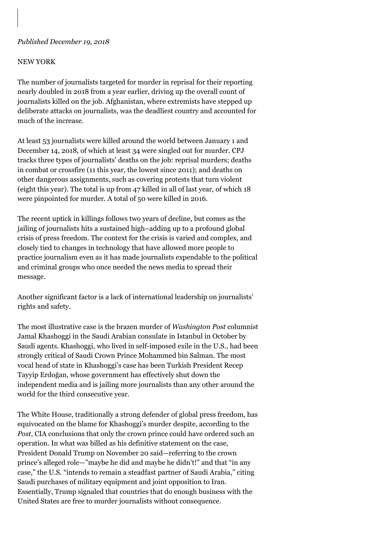## *Published December 19, 2018*

## NEW YORK

The number of journalists targeted for murder in reprisal for their reporting nearly doubled in 2018 from a year earlier, driving up the overall count of journalists killed on the job. Afghanistan, where extremists have stepped up deliberate attacks on journalists, was the deadliest country and accounted for much of the increase.

At least 53 journalists were [killed around the world](https://cpj.org/data/killed/2018/) between January 1 and December 14, 2018, of which at least 34 were [singled out for murder](https://cpj.org/data/killed/2018/?status=Killed&motiveConfirmed%5B%5D=Confirmed&type%5B%5D=Journalist&typeOfDeath%5B%5D=Murder&start_year=2018&end_year=2018&group_by=location). CPJ tracks three types of journalists' deaths on the job: reprisal murders; deaths in [combat or crossfire](https://cpj.org/data/killed/2018/?status=Killed&motiveConfirmed%5B%5D=Confirmed&type%5B%5D=Journalist&typeOfDeath%5B%5D=Crossfire&start_year=2018&end_year=2018&group_by=location) (11 this year, the lowest since 2011); and deaths on other [dangerous assignments,](https://cpj.org/data/killed/2018/?status=Killed&motiveConfirmed%5B%5D=Confirmed&type%5B%5D=Journalist&typeOfDeath%5B%5D=Dangerous%20Assignment&start_year=2018&end_year=2018&group_by=location) such as covering protests that turn violent (eight this year). The total is up from 47 [killed in all of last year](https://cpj.org/data/?status=Killed&start_year=2017&end_year=2017&group_by=year&motiveConfirmed%5B%5D=Confirmed&type%5B%5D=Journalist), of which 18 were pinpointed for murder. A total of 50 were [killed in 2016.](https://cpj.org/data/?status=Killed&start_year=2016&end_year=2016&group_by=year&motiveConfirmed%5B%5D=Confirmed&type%5B%5D=Journalist)

The recent uptick in killings follows two years of decline, but comes as the [jailing of journalists](https://cpj.org/data/imprisoned/2018/) hits a [sustained high–](https://cpj.org/reports/2018/12/journalists-jailed-imprisoned-turkey-china-egypt-saudi-arabia.php)adding up to a profound global crisis of press freedom. The context for the crisis is varied and complex, and closely tied to [changes in technology](https://cpj.org/2017/04/introduction-the-new-face-of-censorship.php) that have allowed more people to practice journalism even as it has made journalists expendable to the political and criminal groups who once needed the news media to spread their message.

Another significant factor is a [lack of international leadership](https://cpj.org/blog/2017/05/with-press-freedom-under-attack-worldwide-us-is-se.php) on journalists' rights and safety.

The most illustrative case is the brazen murder of *Washington Post* columnist [Jamal Khashoggi](https://cpj.org/data/people/jamal-khashoggi/index.php) in the Saudi Arabian consulate in Istanbul in October by Saudi agents. Khashoggi, who lived in self-imposed exile in the U.S., had been strongly critical of Saudi Crown Prince Mohammed bin Salman. The most vocal head of state in Khashoggi's case has been Turkish President Recep Tayyip Erdoğan, whose government has [effectively shut down](https://www.cjr.org/analysis/turkey-khashoggi-murder.php) the independent media and is jailing more journalists than any other around the world for the third consecutive year.

The White House, traditionally a strong defender of global press freedom, has equivocated on the blame for Khashoggi's murder despite, according to the *Post*, CIA conclusions that [only the crown prince could have ordered](https://www.washingtonpost.com/world/national-security/cia-concludes-saudi-crown-prince-ordered-jamal-khashoggis-assassination/2018/11/16/98c89fe6-e9b2-11e8-a939-9469f1166f9d_story.html?utm_term=.2193ea8689fc) such an operation. In what was billed as his definitive [statement](https://www.whitehouse.gov/briefings-statements/statement-president-donald-j-trump-standing-saudi-arabia/) on the case, President Donald Trump on November 20 said—referring to the crown prince's alleged role—"maybe he did and maybe he didn't!" and that "in any case," the U.S. "intends to remain a steadfast partner of Saudi Arabia," citing Saudi purchases of military equipment and joint opposition to Iran. Essentially, Trump signaled that countries that do enough business with the United States are free to murder journalists without consequence.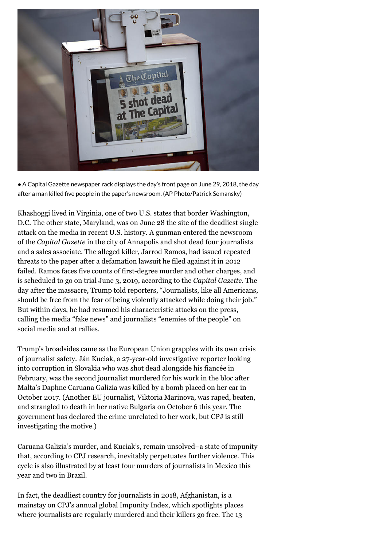

●A Capital Gazette newspaper rack displays the day's front page on June 29, 2018, the day after a man killed five people in the paper's newsroom. (AP Photo/Patrick Semansky)

Khashoggi lived in Virginia, one of two U.S. states that border Washington, [D.C. The other state, Maryland, was on June 28 the site of the deadliest single](https://cpj.org/2018/06/alleged-killer-of-capital-gazette-employees-had-ma.php) attack on the media in recent U.S. history. A gunman entered the newsroom of the *Capital Gazette* in the city of Annapolis and shot dead four journalists and a sales associate. The alleged killer, Jarrod Ramos, had issued repeated threats to the paper after a defamation lawsuit he filed against it in 2012 failed. Ramos faces five counts of first-degree murder and other charges, and is [scheduled to go on trial](https://www.capitalgazette.com/news/annapolis/ac-cn-ramos-trial-20180820-story.html) June 3, 2019, according to the *Capital Gazette*. The day after the massacre, Trump told reporters, "[Journalists, like all Americans](https://www.baltimoresun.com/news/maryland/anne-arundel/bs-md-trump-capital-gazette-20180629-story.html), should be free from the fear of being violently attacked while doing their job." But within days, he had [resumed](https://twitter.com/realDonaldTrump/status/1014105549624037377) his characteristic attacks on the press, calling the media "fake news" and journalists "enemies of the people" on social media and at rallies.

Trump's broadsides came as the European Union grapples with its own crisis of journalist safety. [Ján Kuciak](https://cpj.org/data/people/jan-kuciak/index.php), a 27-year-old investigative reporter looking into corruption in Slovakia who was shot dead alongside his fiancée in February, was the second journalist murdered for his work in the bloc after Malta's [Daphne Caruana Galizia](https://cpj.org/data/people/daphne-caruana-galizia/) was killed by a bomb placed on her car in October 2017. (Another EU journalist, [Viktoria Marinova](https://cpj.org/data/people/viktoria-marinova/index.php), was raped, beaten, and strangled to death in her native Bulgaria on October 6 this year. The government has declared the crime unrelated to her work, but CPJ is still investigating the motive.)

Caruana Galizia's murder, and Kuciak's, remain unsolved–a state of impunity that, according to [CPJ research,](https://cpj.org/reports/2014/10/the-road-to-justice-impunity-mean.php) inevitably perpetuates further violence. This cycle is also illustrated by at least four murders of journalists in [Mexico](https://cpj.org/data/killed/2018/?status=Killed&motiveConfirmed%5B%5D=Confirmed&type%5B%5D=Journalist&cc_fips%5B%5D=MX&start_year=2018&end_year=2018&group_by=location) this year and [two in Brazil.](https://cpj.org/data/killed/2018/?status=Killed&motiveConfirmed%5B%5D=Confirmed&type%5B%5D=Journalist&cc_fips%5B%5D=BR&start_year=2018&end_year=2018&group_by=location)

In fact, the deadliest country for journalists in 2018, Afghanistan, is a mainstay on CPJ's annual global [Impunity Index,](https://cpj.org/reports/2018/10/impunity-index-getting-away-with-murder-killed-justice.php) which spotlights places where journalists are regularly murdered and their killers go free. The 13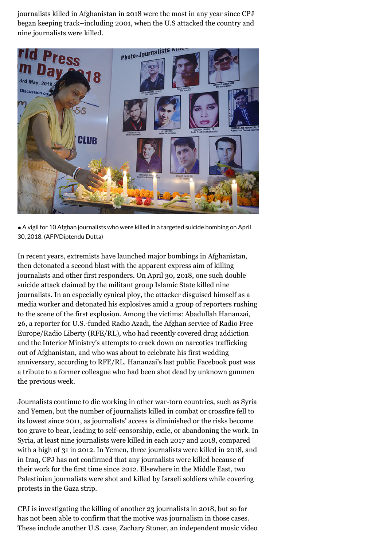journalists killed in Afghanistan in 2018 were the [most in any year](https://cpj.org/data/killed/?status=Killed&motiveConfirmed%5B%5D=Confirmed&type%5B%5D=Journalist&cc_fips%5B%5D=AF&start_year=1992&end_year=2018&group_by=year) since CPJ began keeping track–including 2001, when the U.S attacked the country and nine journalists were killed.



●A vigil for 10 Afghan journalists who were killed in a targeted suicide bombing on April 30, 2018. (AFP/Diptendu Dutta)

In recent years, extremists have launched major bombings in Afghanistan, then detonated a second blast with the apparent express aim of killing journalists and other first responders. On April 30, 2018, one such double suicide attack claimed by the militant group Islamic State killed nine journalists. In an especially [cynical ploy](https://cpj.org/2018/04/in-afghanistan-at-least-10-journalists-killed-in-o.php), the attacker disguised himself as a media worker and detonated his explosives amid a group of reporters rushing to the scene of the first explosion. Among the victims: [Abadullah Hananzai](https://cpj.org/data/people/abadullah-hananzai/index.php), 26, a reporter for U.S.-funded Radio Azadi, the Afghan service of Radio Free Europe/Radio Liberty (RFE/RL), who had recently covered drug addiction and the Interior Ministry's attempts to crack down on narcotics trafficking out of Afghanistan, and who was about to celebrate his first wedding anniversary, according to RFE/RL. Hananzai's last public Facebook post was a tribute to a former colleague who had been shot dead by unknown gunmen the previous week.

Journalists continue to die working in other war-torn countries, such as Syria and Yemen, but the number of journalists killed in combat or crossfire fell to its [lowest since 2011](https://cpj.org/data/killed/?status=Killed&motiveConfirmed%5B%5D=Confirmed&type%5B%5D=Journalist&typeOfDeath%5B%5D=Crossfire&start_year=1992&end_year=2018&group_by=year), as journalists' [access is diminished](https://cpj.org/2011/07/silencing-global-coverage-syria-detains-expels-rep.php) or the risks become too grave to bear, leading to [self-censorship](https://cpj.org/blog/2018/09/journalists-in-yemen-under-attack-from-all-sides-a.php), [exile, or abandoning the work.](https://cpj.org/blog/2017/12/in-houthi-controlled-yemen-silence-exile-or-detent.php) In [Syria](https://cpj.org/data/killed/?status=Killed&motiveConfirmed%5B%5D=Confirmed&type%5B%5D=Journalist&cc_fips%5B%5D=SY&start_year=1992&end_year=2018&group_by=year), at least nine journalists were killed in each 2017 and 2018, compared with a high of 31 in 2012. In [Yemen](https://cpj.org/data/killed/?status=Killed&motiveConfirmed%5B%5D=Confirmed&type%5B%5D=Journalist&cc_fips%5B%5D=YM&start_year=1992&end_year=2018&group_by=year), three journalists were killed in 2018, and in [Iraq](https://cpj.org/data/killed/?status=Killed&motiveConfirmed%5B%5D=Confirmed&type%5B%5D=Journalist&cc_fips%5B%5D=IZ&start_year=1992&end_year=2018&group_by=year), CPJ has not confirmed that any journalists were killed because of [their work for the first time since 2012. Elsewhere in the Middle East, two](https://cpj.org/data/killed/2018/?status=Killed&motiveConfirmed%5B%5D=Confirmed&type%5B%5D=Journalist&cc_fips%5B%5D=IS&start_year=2018&end_year=2018&group_by=location) [Palestinian journalists were shot and killed by Israeli soldiers while covering](https://cpj.org/2018/04/israel-must-review-idf-policy-on-protests-journali.php) protests in the Gaza strip.

CPJ is investigating the killing of another 23 journalists in 2018, but so far has not been able to confirm that the motive was journalism in those cases. These include another U.S. case, Zachary Stoner, an independent music video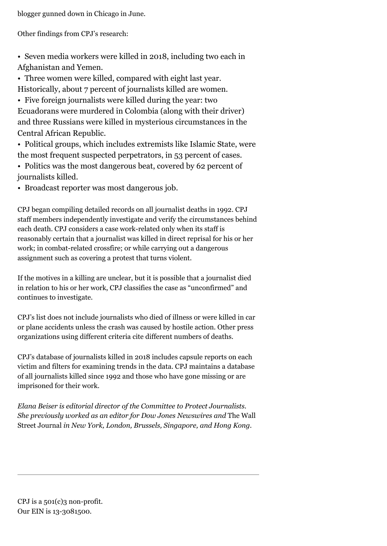blogger [gunned down in Chicago](https://cpj.org/2018/06/independent-music-journalist-zachary-stoner-killed.php) in June.

Other findings from CPJ's research:

• Seven media workers were killed in 2018, including two each in Afghanistan and Yemen.

• Three women were killed, compared with eight last year.

Historically, about 7 percent of journalists killed are women. • Five foreign journalists were killed during the year: two

[Ecuadorans were murdered in Colombia](https://cpj.org/2018/04/Two-journalists-driver-killed-kidnapped-Ecuador-Colombia.php) (along with their driver) and three Russians were [killed in mysterious circumstances](https://cpj.org/2018/08/killing-of-3-russian-investigative-journalists-in-.php) in the Central African Republic.

• Political groups, which includes extremists like Islamic State, were the most frequent suspected perpetrators, in 53 percent of cases.

• Politics was the most dangerous beat, covered by 62 percent of journalists killed.

• Broadcast reporter was most dangerous job.

CPJ began compiling detailed records on all journalist deaths in 1992. CPJ staff members independently investigate and verify the circumstances behind each death. CPJ considers a case work-related only when its staff is reasonably certain that a journalist was killed in direct reprisal for his or her work; in combat-related crossfire; or while carrying out a dangerous assignment such as covering a protest that turns violent.

If the motives in a killing are unclear, but it is possible that a journalist died in relation to his or her work, CPJ classifies the case as "unconfirmed" and continues to investigate.

CPJ's list does not include journalists who died of illness or were killed in car or plane accidents unless the crash was caused by hostile action. Other press organizations using different criteria cite different numbers of deaths.

CPJ's [database of journalists killed in 2018](https://cpj.org/data/killed/2018/) includes capsule reports on each victim and filters for examining trends in the data. CPJ maintains a database of all [journalists killed since 1992](https://cpj.org/data/killed/?status=Killed&motiveConfirmed%5B%5D=Confirmed&type%5B%5D=Journalist&start_year=1992&end_year=2018&group_by=year) and those who have gone [missing](https://cpj.org/data/missing/) or are [imprisoned](https://cpj.org/data/imprisoned/2018/) for their work.

*Elana Beiser is editorial director of the Committee to Protect Journalists. She previously worked as an editor for Dow Jones Newswires and* The Wall Street Journal *in New York, London, Brussels, Singapore, and Hong Kong.*

CPJ is a 501(c)3 non-profit. Our EIN is 13-3081500.